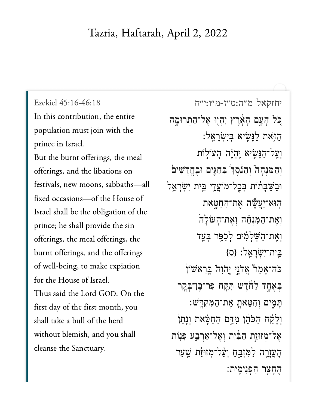## Tazria, Haftarah, April 2, 2022

In this contribution, the entire population must join with the prince in Israel. But the burnt offerings, the meal offerings, and the libations on festivals, new moons, sabbaths—all fixed occasions—of the House of Israel shall be the obligation of the prince; he shall provide the sin offerings, the meal offerings, the burnt offerings, and the offerings of well-being, to make expiation for the House of Israel. Thus said the Lord GOD: On the first day of the first month, you shall take a bull of the herd without blemish, and you shall cleanse the Sanctuary.

[יחזקאל מ״ה:ט״ז-מ״ו:י״ח](https://www.sefaria.org/Ezekiel%2045:16-46:18) [45:16-46:18 Ezekiel](https://www.sefaria.org/Ezekiel%2045:16-46:18) ְכַּל הָעֲם הָאָ֫רֵץ יִהְיִוּ אֲל־הַתְּרוּמֶה ַּהַזְּאֹת לַנָּשִׂיא בִּיְשְׂרָאֵל וְעֲל־הַנָּשִׂיא יְהְיֶה הָעוֹלְוֹת וְהַמְּנְחָה" וְהַבֵּׁסֵךְ ּבַחֲגִים וּבֵחֲדָשִׁים ּוַב ַּׁש ָּב ֔ת ֹות ְּב ׇֽכ ל־מֹוֲע ֵ֖ד י ֵּ֣ב ית ִיְׂש ָר ֵ֑א ל הוּא־יַעֲשֱׂה אֵת־הַחַטָּאת וְאֶת־הַמְּנִחָּה וְאֶת־הָעֹוֹלָה וְאֵת־הָשָׁלַמְּיִם לְכַפֵּר בְּעֲד ָהֵית־יִשְׂרַאֵל: {ס ֿכֿה־אָמַר אֲדֹנֵי יֵהוִה בְּרִאֹשׂוֹן בְּאֶחֶד לַחֹֹדֶשׁ תִּקַּח פַּר־בֶּן־בָּקֶר ָּתְמֻיִם וְחִטֵּאתָ אֶת־הַמְקְדָּשׁ וְלָקַٰח הַכֹּהֶן מְדֵּם הַחַטָּאת וְנָתַן אֲל־מְזוּזֶת הַבַּ֫יִת וְאֱל־אַרְבֵּע פִּנּֽוֹת הָעֲזָרֶה לַמְּזָבֵּחַ וְעַ*֫ל־מְזוּוַּ֫ת שֲ*עַר החצר הפנימית: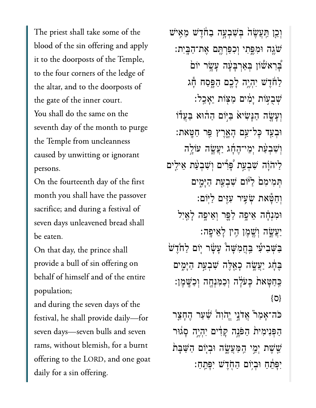The priest shall take some of the blood of the sin offering and apply it to the doorposts of the Temple, to the four corners of the ledge of the altar, and to the doorposts of the gate of the inner court. You shall do the same on the seventh day of the month to purge the Temple from uncleanness caused by unwitting or ignorant persons.

On the fourteenth day of the first month you shall have the passover sacrifice; and during a festival of seven days unleavened bread shall be eaten.

On that day, the prince shall provide a bull of sin offering on behalf of himself and of the entire population;

and during the seven days of the festival, he shall provide daily—for seven days—seven bulls and seven rams, without blemish, for a burnt offering to the LORD, and one goat daily for a sin offering.

וְכֵ֣ן תַּעֲשֶׂהֹ בִּשְׁבִעַּה בַחֹּדֵשׁ מֵאֵישׁ ֹׁשֶ֖גה ּוִמֶּ֑פִתי ְוִכַּפְרֶּ֖תם ֶאת־ַהָּֽבִית׃  $\mathbf{\dot{z}}$ בִּרְא $\mathbf{\ddot{w}}$ וֹן בִּאַרְבָּעָּה עָ ַלַחֹּדֵשׁ יִהְיֵה לָבֶם הַפָּסַח תָּג ְׁשֻב֣עֹות ָיִ֔מים ַמּ֖צֹות ֵיָאֵֽכל׃ וְעָשֶׂה הַנַּשִׂיא בַּיִּוֹם הַהוֹּא בַּעֲדוֹ ּוּבְעַד כָּל־עַם הָאָרֵץ פֵּר חַטֵּאת: וְ**שְׁבְעַּׂת יִמֵי־הֶחָו**ג יַעֲשֱה עוֹלֵה ַלִּיהֹוָה שִׁבְעַת פָּרִים וְשָׁבְעַת אֵילִים ְּתִמיִמ֙ם ַלּ֔יֹום ִׁשְבַ֖עת ַהָּיִ֑מים ְוַחָּ֕טאת ְׂשִ֥עיר ִעִּ֖זים ַלּֽיֹום׃ וּמְנָחָה אֵיפֵה לַפֵּר וְאֵיפֶה לַאֲיָל ַיִּעֲשֶׂה וְשֵׁמֵן הָין לָאֵיפָה: ַּבַּשָּׁבִיעִל ּבַּחֲמְשָׁה עָשָׂר יִוֹם לַחֹּדֵש בֵּחָׂג יַעֲשֱׂה כָאֱלֶּה שְׁבָעַת הַיָּמִים ַּכְּחַטָּאת כָּעֹלָה וְכַמְּנְחֶה וְכַשֶּׁמֶן: }ס{

ֹּכֹּה־אָמַר אֲדֹנֵי יֱהֹוָה ׁשַׁעַר הֶחָצֵר הַפִּנִימִית הַפֹּנֵה קָדִים יִהְיֶה סָגוּר ֹשֵׁשָׁת יִמֵי הַמַּעֲשֶׂה וּבְיִוֹם הַשַּׁבָּת יִפָּתֵח וּבְיִוֹם הַחָדֵשׁ יִפָּתֵחַ: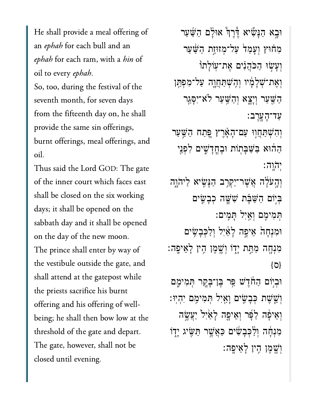He shall provide a meal offering of an ephah for each bull and an ephah for each ram, with a hin of oil to every ephah.

So, too, during the festival of the seventh month, for seven days from the fifteenth day on, he shall provide the same sin offerings, burnt offerings, meal offerings, and oil.

Thus said the Lord GOD: The gate of the inner court which faces east shall be closed on the six working days; it shall be opened on the sabbath day and it shall be opened on the day of the new moon. The prince shall enter by way of the vestibule outside the gate, and shall attend at the gatepost while the priests sacrifice his burnt offering and his offering of wellbeing; he shall then bow low at the threshold of the gate and depart. The gate, however, shall not be closed until evening.

וּבָא הַנָּשִׁיא דייִךְ אוּלָם הַשַּׁעַר מְחֹוּץ וְעֲמַד עַל־מְזוּזֵת הַשָּׁעַר וְעַשִׂוּ הַכֹּהֲנִים אֶת־עוֹלָתוֹ וְאֶת־שְׁלָמְ֫יו וְהָשִׁתַּחֲוֶה עַל־מִפְתַּֽן ַהַּׁ֖שַער ְוָיָ֑צא ְוַהַּׁ֥שַער ֹלא־ִיָּסֵ֖גר ַעד־ָהָֽעֶרב׃ ֿוְהִשְׁתַּחֲוִוּ עַם־הָאֶרֶץ פֶּתַח הַשֲּׁעַר הַהֿוּא בַּשַּׁבְּתְוֹת וּבֶחֲדָשִׁים לִפְּנֵי ְי ֹה ָֽוֹהָֽוה׃ וְהָעֹלָׂה אֲשֶׁר־יַקְרֶב הַנְּשֶׂיא לַיהֹוֶה ַבְּיִּוֹם הַשָּׁבָּׁת שָׁשָּׁה כְּבָשֵׂיִם ְּתִמיִ֖מם ְוַ֥אִיל ָּתִֽמים׃ וּמְנָחָהֹ אֵיפֶה לָאַיִל וְלַכְּבָשִׂים ּמִּנְחֶה מַּתַּֽת יָדָוֹ וְשֶׁמֶן הָין לָאֵיפֶה: }ס{ ּוּבְיִּוֹם הַחֹֹדֵשׁ פֵּר בֵּן־בָּקֶר תִּמִימֶם ְוֵׁ֧שֶׁשת ְּכָבִׂ֛שים ָוַ֖אִיל ְּתִמיִ֥מם ִיְהֽיּו׃ וְאֵיפָה לַפָּ֫ר וְאֵיִפֶּה לָאַיִל יַעֲשֶׂה מְנִחָּה וְלֵכְּבָשִׂ<sup>ּ</sup>ִים כַּאֲשֶׁר תַּשֶּׂיג יְדֶוֹ ְוֶׁ֖שֶמן ִ֥הין ָלֵאיָֽפה׃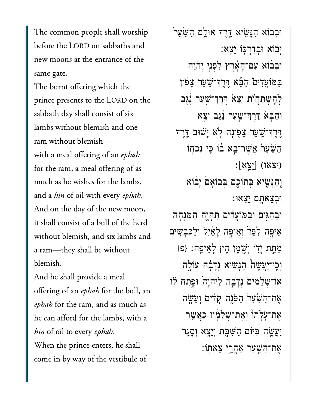The common people shall worship before the LORD on sabbaths and new moons at the entrance of the same gate.

The burnt offering which the prince presents to the LORD on the sabbath day shall consist of six lambs without blemish and one ram without blemish with a meal offering of an ephah for the ram, a meal offering of as much as he wishes for the lambs, and a *hin* of oil with every ephah.

And on the day of the new moon, it shall consist of a bull of the herd without blemish, and six lambs and a ram—they shall be without blemish.

And he shall provide a meal offering of an *ephah* for the bull, an ephah for the ram, and as much as he can afford for the lambs, with a hin of oil to every ephah. When the prince enters, he shall come in by way of the vestibule of

ֿוּבִבְוֹא הַנָּשֵׂיא דֶּרֵךְ אוּלֶם הַשַּׁעַר יָבֿוֹא וּבְדַרִכְּוֹ יֵצֵא: ּוְב֨בֹוא ַעם־ָהָ֜אֶרץ ִלְפֵ֣ני ְיֹהָו֮ה ַבַּמֹוֹעֲדִים הַבָּא דֶּרֶךְ־שַׁעַר צָפֿון לְהֵשִׁתַּחֲוֹת יֵצֵא דֶּרֵךְ־שֵׁעַר נֵ<u>ٰ</u>גֶב וִהַבָּא ִדֶּרְךְ־שַׁעַר נֵגֵב יֵצֵא ָדֶּרְךְ<sup>-</sup>ּשָׁעַר צָפְוֹנָה לְא יָשׁוּב דֶּרֵךְ הַשַּׁעַרׂ אֲשֶׁר־בָּא בֹוֹ כֵּי נִכְחֹוֹ  $\left\lceil \mathbf{x} \mathbf{x}' \right\rceil$  (  $\left\lceil \mathbf{x} \mathbf{x}' \right\rceil$ **ֶּוְהַנִּשְׂיא בְּתוֹכֵם בְּבוֹאֲם** יָבֹוֹא ּוְבֵצאָ֖תם ֵיֵֽצאּו׃

ּוּבַחָגִּים וּבַמּוֹעֲדִים תְּהָיֵה הַמְּנִחָה ֵאיָ֤פה ַלָּפ֙ר ְוֵאיָ֣פה ָלַ֔אִיל ְוַלְּכָבִׂ֖שים ַמַּת יָדָוֹ וְשֶׁמֶן הֶין לָאֵיפָה: {פּ} ְוִֽכי־ַיֲעֶׂש֩ה ַהָּנִׂ֨שיא ְנָדָ֜בה עֹוָ֣לה

אֹו־שְׁלָמִים וְדָבְה לֵיהֹוָה וּפִתַח לֹוֹ אֶת־הַשַּׁעַר<sub>ו</sub> הַפּֿנֵה קַדִּים וְעָשֶׂה ָאֶת־עָלָתוֹ וְאֶת־*ִּשְׁ*לָמִּי כַּאֲשֶׁר יַעֲשֶׂה בִּיִּוֹם הַשַּׁבָּת וְיָצֵא וְסָגַר ַאֲת־הַשָּׁעַר אַחֲרֵי צֵאתוֹ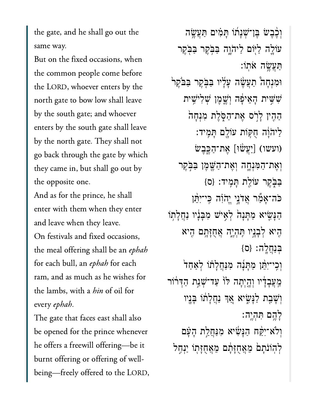the gate, and he shall go out the same way.

But on the fixed occasions, when the common people come before the LORD, whoever enters by the north gate to bow low shall leave by the south gate; and whoever enters by the south gate shall leave by the north gate. They shall not go back through the gate by which they came in, but shall go out by the opposite one.

And as for the prince, he shall enter with them when they enter and leave when they leave. On festivals and fixed occasions, the meal offering shall be an ephah for each bull, an ephah for each ram, and as much as he wishes for the lambs, with a *hin* of oil for every ephah.

The gate that faces east shall also be opened for the prince whenever he offers a freewill offering—be it burnt offering or offering of wellbeing—freely offered to the LORD,

וְכֶ֫בֵּשׂ בֵּן־שָׁנַּתׁוֹ תַּמִּים תַּעֲשֶׂה עֹוֹלֶה לַיִּּוֹם לַיהֹוֶה בַּבְּקֵר בַּבְּקֵר ַּתֲעֶׂ֥שה ֹאֽתֹו׃ וּמְנָחָה תַּעֲשֶׂה עָלָיו בַּבְּקֶר בַּבֹּקֶר ִׁשִּׁ֣שית ָהֵאיָ֔פה ְוֶׁ֛שֶמן ְׁשִליִׁ֥שית הַהִין לַרִׂס אֵת־הַסְּלֵת מְנִחָה ַלִּיהֹוָה חִקְוֹת עוֹלֵם תַּמִיד: וֹעַשׁוּ] אַת־הָכֶּבָשׂ) וְאֶת־הַמְּנְחֱה וְאֶת־הַשֱמֶן בַּבְ*ּ*קֵר ַּבֹּ֑בֶקר עֹוַ֖לת ָּתִֽמיד׃ }ס{ ֿיֹ־יָהֵוֹה בֶּי־יִהֵּן ַהַּנָּשִׂיא מַתָּנָה לְאֵישׁ מִבְּנָיו נַחֲלָתְוֹ ִ֖היא ְלָבָ֣ניו ִּֽתְהֶ֑יה ֲאֻחָּזָ֥תם ִ֖היא ּבִּנְחֲלֵה: {ס} וְכֵי־יִתֵּׁן מַתַּּנָה מִנַּחֲלַתֹו לְאַחָד מֵעֲבָדָׂיו וְהָיִתָה לּוֹ עַד־שָׁנַת הַדִּרֹוֹר וְּשַׁבַת לַנַּשִׂיא אֵךְ נַחֲלָתוֹ בָּנֵיו ָלֶ֥הם ִּתְהֶֽיה׃ וִלֹא־יִקַּׁח הַנָּשִׂיא מִנַּחֲלַת הָעָּׁם לִהוֹנִת<sup>ַ</sup>ם מֵאֲחָזָ<sup>ּ</sup>תָׁם מֵאֲחָזָתְוֹ יַנְחֶל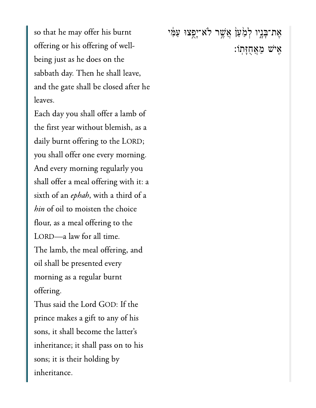so that he may offer his burnt offering or his offering of wellbeing just as he does on the sabbath day. Then he shall leave, and the gate shall be closed after he leaves.

Each day you shall offer a lamb of the first year without blemish, as a daily burnt offering to the LORD; you shall offer one every morning. And every morning regularly you shall offer a meal offering with it: a sixth of an ephah, with a third of a hin of oil to moisten the choice flour, as a meal offering to the LORD—a law for all time. The lamb, the meal offering, and oil shall be presented every morning as a regular burnt offering.

Thus said the Lord GOD: If the prince makes a gift to any of his sons, it shall become the latter's inheritance; it shall pass on to his sons; it is their holding by inheritance.

אָת־בְּנֵיו לְמַּעַן<sub>ْ</sub> אֲשֶׁר לֹא־יָפֵצוּ עַמִּי ּאִישׁ מֵאֲחֻזָּתְוֹ: